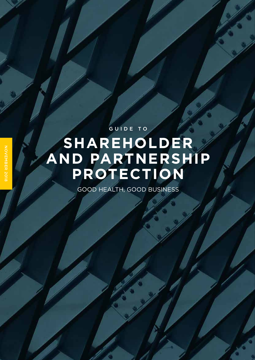## **SHAREHOLDER AND PARTNERSHIP PROTECTION** GUIDE TO

GOOD HEALTH, GOOD BUSINESS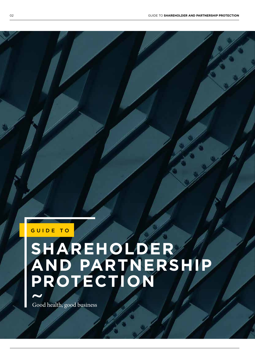#### GUIDE TO

# **SHAREHOLDER AND PARTNERSHIP PROTECTION**

Good health, good business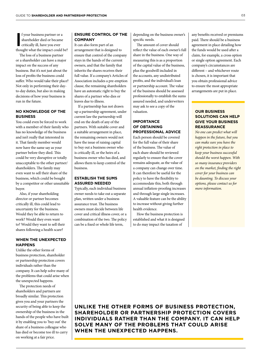I f your business partner or a shareholder died or became critically ill, have you ever thought what the impact could be?

The loss of a business partner or a shareholder can have a major impact on the success of any business. But it's not just about the loss of profits the business could suffer. Who would take their place? Not only in performing their dayto-day duties, but also in making decisions of how your business is run in the future.

#### **NO KNOWLEDGE OF THE BUSINESS**

You could even be forced to work with a member of their family who has no knowledge of the business and isn't really that interested in it. That family member would now have the same say as your partner before they died. This could be very disruptive or totally unacceptable to the other partner/ shareholders. The family may even want to sell their share of the business, which could be bought by a competitor or other unsuitable buyer.

Also, if your shareholding director or partner becomes critically ill, this could lead to uncertainty for the business. Would they be able to return to work? Would they even want to? Would they want to sell their shares following a health scare?

#### **WHEN THE UNEXPECTED HAPPENS**

Unlike the other forms of business protection, shareholder or partnership protection covers individuals rather than the company. It can help solve many of the problems that could arise when the unexpected happens.

The protection needs of shareholders and partners are broadly similar. This protection gives you and your partners the security of being able to keep the ownership of the business in the hands of the people who have built it by enabling you to 'buy out' the share of a business colleague who has died or become too ill to carry on working at a fair price.

#### **ENSURE CONTROL OF THE COMPANY**

It can also form part of an arrangement that is designed to ensure that control of the company stays in the hands of the current owners, and that the family that inherits the shares receives their full value. If a company's Articles of Association includes a pre-emption clause, the remaining shareholders have an automatic right to buy the shares of a partner who dies or leaves due to illness.

If a partnership has not drawn up a partnership agreement, under current law the partnership will end on the death of any of the partners. With suitable cover and a suitable arrangement in place, the remaining owners would not have the issue of raising capital to buy out a business owner who is critically ill, or the heirs of a business owner who has died, and allows them to keep control of the business.

#### **ESTABLISH THE SUMS ASSURED NEEDED**

Typically, each individual business owner needs to take out a separate plan, written under a business assurance trust. The business owners must decide between life cover and critical illness cover, or a combination of the two. The policy can be a fixed or whole life term,

depending on the business owner's specific needs.

The amount of cover should reflect the value of each owner's full share in the business. One way of measuring this is as a proportion of the capital value of the business, plus the goodwill included in the accounts, any undistributed profits, and the individual's loan or partnership account. The value of the business should be assessed professionally to establish the sums assured needed, and underwriters may ask to see a copy of the valuation.

#### **IMPORTANCE OF OBTAINING PROFESSIONAL ADVICE**

Each person should be covered for the full value of their share of the business. The value of each share should be reviewed regularly to ensure that the cover remains adequate, as the value of a company can change over time. It can therefore be useful for the policy to have the flexibility to accommodate this, both through annual inflation-proofing increases and through large single increases. A valuable feature can be the ability to increase without giving further health evidence.

How the business protection is established and what it is designed to do may impact the taxation of

any benefits received or premiums paid. There should be a business agreement in place detailing how the funds would be used after a claim, for example, a cross option or single option agreement. Each company's circumstances are different – and whichever route is chosen, it is important that you obtain professional advice to ensure the most appropriate arrangements are put in place.

#### **OUR BUSINESS SOLUTIONS CAN HELP GIVE YOUR BUSINESS REASSURANCE**

*No one can predict what will happen in the future, but you can make sure you have the right protection in place to keep your business successful should the worst happen. With so many insurance providers on the market, finding the right cover for your business can be daunting. To discuss your options, please contact us for more information.* 

**UNLIKE THE OTHER FORMS OF BUSINESS PROTECTION, SHAREHOLDER OR PARTNERSHIP PROTECTION COVERS INDIVIDUALS RATHER THAN THE COMPANY. IT CAN HELP SOLVE MANY OF THE PROBLEMS THAT COULD ARISE WHEN THE UNEXPECTED HAPPENS.**